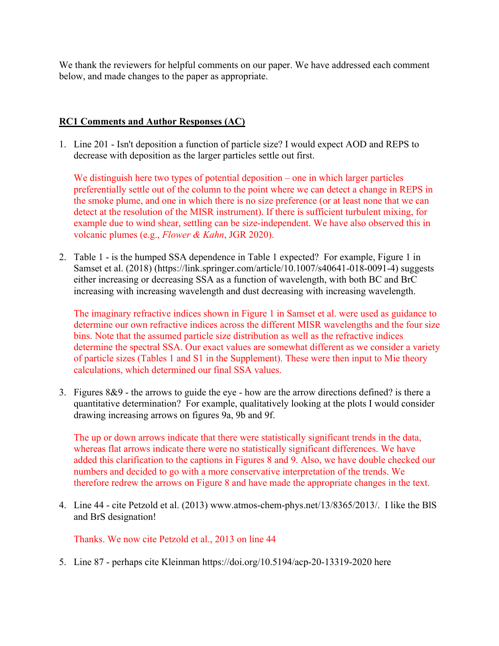We thank the reviewers for helpful comments on our paper. We have addressed each comment below, and made changes to the paper as appropriate.

## **RC1 Comments and Author Responses (AC)**

1. Line 201 - Isn't deposition a function of particle size? I would expect AOD and REPS to decrease with deposition as the larger particles settle out first.

We distinguish here two types of potential deposition – one in which larger particles preferentially settle out of the column to the point where we can detect a change in REPS in the smoke plume, and one in which there is no size preference (or at least none that we can detect at the resolution of the MISR instrument). If there is sufficient turbulent mixing, for example due to wind shear, settling can be size-independent. We have also observed this in volcanic plumes (e.g., *Flower & Kahn*, JGR 2020).

2. Table 1 - is the humped SSA dependence in Table 1 expected? For example, Figure 1 in Samset et al. (2018) (https://link.springer.com/article/10.1007/s40641-018-0091-4) suggests either increasing or decreasing SSA as a function of wavelength, with both BC and BrC increasing with increasing wavelength and dust decreasing with increasing wavelength.

The imaginary refractive indices shown in Figure 1 in Samset et al. were used as guidance to determine our own refractive indices across the different MISR wavelengths and the four size bins. Note that the assumed particle size distribution as well as the refractive indices determine the spectral SSA. Our exact values are somewhat different as we consider a variety of particle sizes (Tables 1 and S1 in the Supplement). These were then input to Mie theory calculations, which determined our final SSA values.

3. Figures 8&9 - the arrows to guide the eye - how are the arrow directions defined? is there a quantitative determination? For example, qualitatively looking at the plots I would consider drawing increasing arrows on figures 9a, 9b and 9f.

The up or down arrows indicate that there were statistically significant trends in the data, whereas flat arrows indicate there were no statistically significant differences. We have added this clarification to the captions in Figures 8 and 9. Also, we have double checked our numbers and decided to go with a more conservative interpretation of the trends. We therefore redrew the arrows on Figure 8 and have made the appropriate changes in the text.

4. Line 44 - cite Petzold et al. (2013) www.atmos-chem-phys.net/13/8365/2013/. I like the BlS and BrS designation!

Thanks. We now cite Petzold et al., 2013 on line 44

5. Line 87 - perhaps cite Kleinman https://doi.org/10.5194/acp-20-13319-2020 here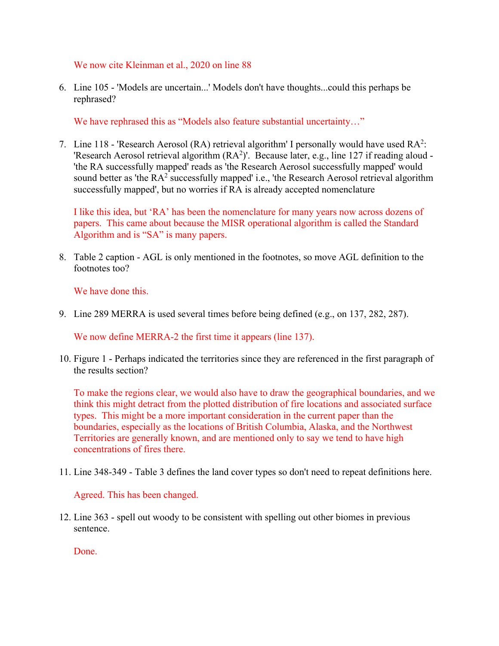We now cite Kleinman et al., 2020 on line 88

6. Line 105 - 'Models are uncertain...' Models don't have thoughts...could this perhaps be rephrased?

We have rephrased this as "Models also feature substantial uncertainty..."

7. Line 118 - 'Research Aerosol (RA) retrieval algorithm' I personally would have used  $RA^2$ : 'Research Aerosol retrieval algorithm  $(RA<sup>2</sup>)'$ . Because later, e.g., line 127 if reading aloud -'the RA successfully mapped' reads as 'the Research Aerosol successfully mapped' would sound better as 'the RA<sup>2</sup> successfully mapped' i.e., 'the Research Aerosol retrieval algorithm successfully mapped', but no worries if RA is already accepted nomenclature

I like this idea, but 'RA' has been the nomenclature for many years now across dozens of papers. This came about because the MISR operational algorithm is called the Standard Algorithm and is "SA" is many papers.

8. Table 2 caption - AGL is only mentioned in the footnotes, so move AGL definition to the footnotes too?

We have done this.

9. Line 289 MERRA is used several times before being defined (e.g., on 137, 282, 287).

We now define MERRA-2 the first time it appears (line 137).

10. Figure 1 - Perhaps indicated the territories since they are referenced in the first paragraph of the results section?

To make the regions clear, we would also have to draw the geographical boundaries, and we think this might detract from the plotted distribution of fire locations and associated surface types. This might be a more important consideration in the current paper than the boundaries, especially as the locations of British Columbia, Alaska, and the Northwest Territories are generally known, and are mentioned only to say we tend to have high concentrations of fires there.

11. Line 348-349 - Table 3 defines the land cover types so don't need to repeat definitions here.

Agreed. This has been changed.

12. Line 363 - spell out woody to be consistent with spelling out other biomes in previous sentence.

Done.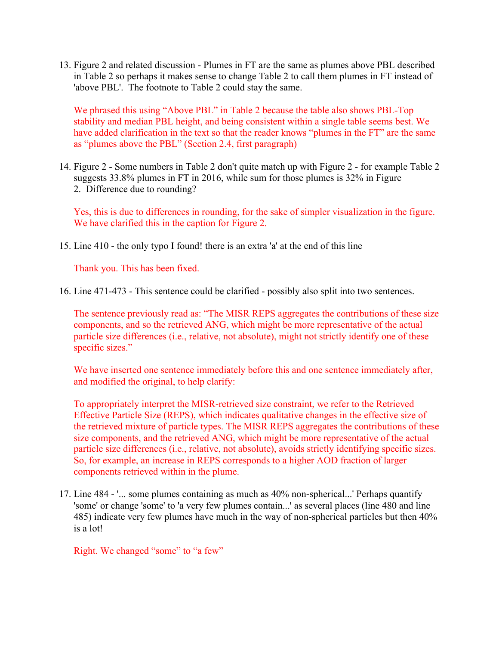13. Figure 2 and related discussion - Plumes in FT are the same as plumes above PBL described in Table 2 so perhaps it makes sense to change Table 2 to call them plumes in FT instead of 'above PBL'. The footnote to Table 2 could stay the same.

We phrased this using "Above PBL" in Table 2 because the table also shows PBL-Top stability and median PBL height, and being consistent within a single table seems best. We have added clarification in the text so that the reader knows "plumes in the FT" are the same as "plumes above the PBL" (Section 2.4, first paragraph)

14. Figure 2 - Some numbers in Table 2 don't quite match up with Figure 2 - for example Table 2 suggests 33.8% plumes in FT in 2016, while sum for those plumes is 32% in Figure 2. Difference due to rounding?

Yes, this is due to differences in rounding, for the sake of simpler visualization in the figure. We have clarified this in the caption for Figure 2.

15. Line 410 - the only typo I found! there is an extra 'a' at the end of this line

Thank you. This has been fixed.

16. Line 471-473 - This sentence could be clarified - possibly also split into two sentences.

The sentence previously read as: "The MISR REPS aggregates the contributions of these size components, and so the retrieved ANG, which might be more representative of the actual particle size differences (i.e., relative, not absolute), might not strictly identify one of these specific sizes."

We have inserted one sentence immediately before this and one sentence immediately after, and modified the original, to help clarify:

To appropriately interpret the MISR-retrieved size constraint, we refer to the Retrieved Effective Particle Size (REPS), which indicates qualitative changes in the effective size of the retrieved mixture of particle types. The MISR REPS aggregates the contributions of these size components, and the retrieved ANG, which might be more representative of the actual particle size differences (i.e., relative, not absolute), avoids strictly identifying specific sizes. So, for example, an increase in REPS corresponds to a higher AOD fraction of larger components retrieved within in the plume.

17. Line 484 - '... some plumes containing as much as 40% non-spherical...' Perhaps quantify 'some' or change 'some' to 'a very few plumes contain...' as several places (line 480 and line 485) indicate very few plumes have much in the way of non-spherical particles but then 40% is a lot!

Right. We changed "some" to "a few"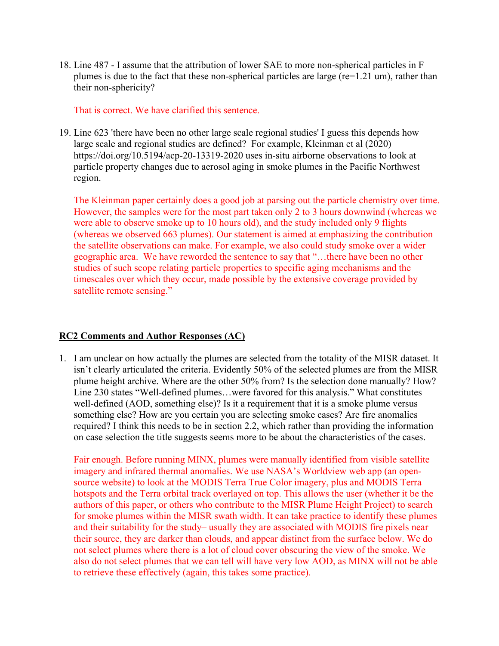18. Line 487 - I assume that the attribution of lower SAE to more non-spherical particles in F plumes is due to the fact that these non-spherical particles are large (re=1.21 um), rather than their non-sphericity?

That is correct. We have clarified this sentence.

19. Line 623 'there have been no other large scale regional studies' I guess this depends how large scale and regional studies are defined? For example, Kleinman et al (2020) https://doi.org/10.5194/acp-20-13319-2020 uses in-situ airborne observations to look at particle property changes due to aerosol aging in smoke plumes in the Pacific Northwest region.

The Kleinman paper certainly does a good job at parsing out the particle chemistry over time. However, the samples were for the most part taken only 2 to 3 hours downwind (whereas we were able to observe smoke up to 10 hours old), and the study included only 9 flights (whereas we observed 663 plumes). Our statement is aimed at emphasizing the contribution the satellite observations can make. For example, we also could study smoke over a wider geographic area. We have reworded the sentence to say that "…there have been no other studies of such scope relating particle properties to specific aging mechanisms and the timescales over which they occur, made possible by the extensive coverage provided by satellite remote sensing."

## **RC2 Comments and Author Responses (AC)**

1. I am unclear on how actually the plumes are selected from the totality of the MISR dataset. It isn't clearly articulated the criteria. Evidently 50% of the selected plumes are from the MISR plume height archive. Where are the other 50% from? Is the selection done manually? How? Line 230 states "Well-defined plumes…were favored for this analysis." What constitutes well-defined (AOD, something else)? Is it a requirement that it is a smoke plume versus something else? How are you certain you are selecting smoke cases? Are fire anomalies required? I think this needs to be in section 2.2, which rather than providing the information on case selection the title suggests seems more to be about the characteristics of the cases.

Fair enough. Before running MINX, plumes were manually identified from visible satellite imagery and infrared thermal anomalies. We use NASA's Worldview web app (an opensource website) to look at the MODIS Terra True Color imagery, plus and MODIS Terra hotspots and the Terra orbital track overlayed on top. This allows the user (whether it be the authors of this paper, or others who contribute to the MISR Plume Height Project) to search for smoke plumes within the MISR swath width. It can take practice to identify these plumes and their suitability for the study– usually they are associated with MODIS fire pixels near their source, they are darker than clouds, and appear distinct from the surface below. We do not select plumes where there is a lot of cloud cover obscuring the view of the smoke. We also do not select plumes that we can tell will have very low AOD, as MINX will not be able to retrieve these effectively (again, this takes some practice).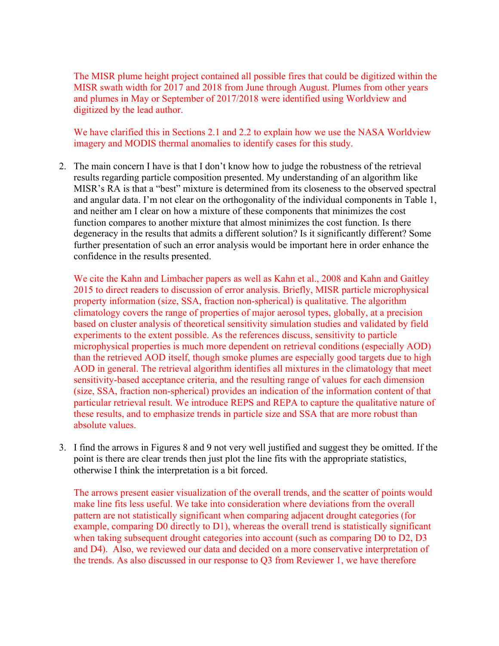The MISR plume height project contained all possible fires that could be digitized within the MISR swath width for 2017 and 2018 from June through August. Plumes from other years and plumes in May or September of 2017/2018 were identified using Worldview and digitized by the lead author.

We have clarified this in Sections 2.1 and 2.2 to explain how we use the NASA Worldview imagery and MODIS thermal anomalies to identify cases for this study.

2. The main concern I have is that I don't know how to judge the robustness of the retrieval results regarding particle composition presented. My understanding of an algorithm like MISR's RA is that a "best" mixture is determined from its closeness to the observed spectral and angular data. I'm not clear on the orthogonality of the individual components in Table 1, and neither am I clear on how a mixture of these components that minimizes the cost function compares to another mixture that almost minimizes the cost function. Is there degeneracy in the results that admits a different solution? Is it significantly different? Some further presentation of such an error analysis would be important here in order enhance the confidence in the results presented.

We cite the Kahn and Limbacher papers as well as Kahn et al., 2008 and Kahn and Gaitley 2015 to direct readers to discussion of error analysis. Briefly, MISR particle microphysical property information (size, SSA, fraction non-spherical) is qualitative. The algorithm climatology covers the range of properties of major aerosol types, globally, at a precision based on cluster analysis of theoretical sensitivity simulation studies and validated by field experiments to the extent possible. As the references discuss, sensitivity to particle microphysical properties is much more dependent on retrieval conditions (especially AOD) than the retrieved AOD itself, though smoke plumes are especially good targets due to high AOD in general. The retrieval algorithm identifies all mixtures in the climatology that meet sensitivity-based acceptance criteria, and the resulting range of values for each dimension (size, SSA, fraction non-spherical) provides an indication of the information content of that particular retrieval result. We introduce REPS and REPA to capture the qualitative nature of these results, and to emphasize trends in particle size and SSA that are more robust than absolute values.

3. I find the arrows in Figures 8 and 9 not very well justified and suggest they be omitted. If the point is there are clear trends then just plot the line fits with the appropriate statistics, otherwise I think the interpretation is a bit forced.

The arrows present easier visualization of the overall trends, and the scatter of points would make line fits less useful. We take into consideration where deviations from the overall pattern are not statistically significant when comparing adjacent drought categories (for example, comparing D0 directly to D1), whereas the overall trend is statistically significant when taking subsequent drought categories into account (such as comparing D0 to D2, D3 and D4). Also, we reviewed our data and decided on a more conservative interpretation of the trends. As also discussed in our response to Q3 from Reviewer 1, we have therefore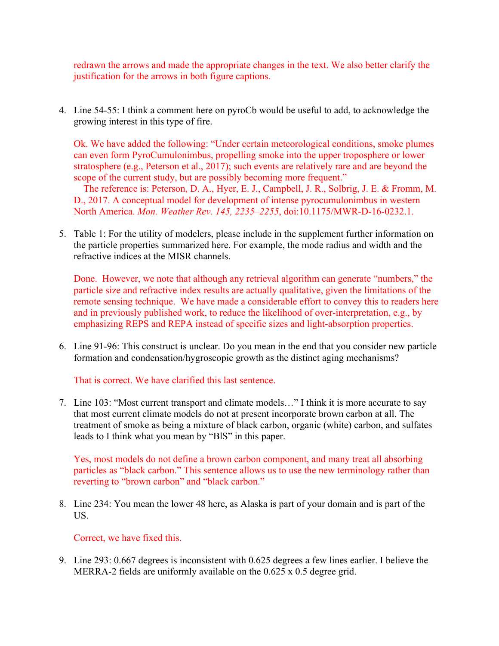redrawn the arrows and made the appropriate changes in the text. We also better clarify the justification for the arrows in both figure captions.

4. Line 54-55: I think a comment here on pyroCb would be useful to add, to acknowledge the growing interest in this type of fire.

Ok. We have added the following: "Under certain meteorological conditions, smoke plumes can even form PyroCumulonimbus, propelling smoke into the upper troposphere or lower stratosphere (e.g., Peterson et al., 2017); such events are relatively rare and are beyond the scope of the current study, but are possibly becoming more frequent."

 The reference is: Peterson, D. A., Hyer, E. J., Campbell, J. R., Solbrig, J. E. & Fromm, M. D., 2017. A conceptual model for development of intense pyrocumulonimbus in western North America. *Mon. Weather Rev. 145, 2235–2255*, doi:10.1175/MWR-D-16-0232.1.

5. Table 1: For the utility of modelers, please include in the supplement further information on the particle properties summarized here. For example, the mode radius and width and the refractive indices at the MISR channels.

Done. However, we note that although any retrieval algorithm can generate "numbers," the particle size and refractive index results are actually qualitative, given the limitations of the remote sensing technique. We have made a considerable effort to convey this to readers here and in previously published work, to reduce the likelihood of over-interpretation, e.g., by emphasizing REPS and REPA instead of specific sizes and light-absorption properties.

6. Line 91-96: This construct is unclear. Do you mean in the end that you consider new particle formation and condensation/hygroscopic growth as the distinct aging mechanisms?

That is correct. We have clarified this last sentence.

7. Line 103: "Most current transport and climate models…" I think it is more accurate to say that most current climate models do not at present incorporate brown carbon at all. The treatment of smoke as being a mixture of black carbon, organic (white) carbon, and sulfates leads to I think what you mean by "BlS" in this paper.

Yes, most models do not define a brown carbon component, and many treat all absorbing particles as "black carbon." This sentence allows us to use the new terminology rather than reverting to "brown carbon" and "black carbon."

8. Line 234: You mean the lower 48 here, as Alaska is part of your domain and is part of the US.

Correct, we have fixed this.

9. Line 293: 0.667 degrees is inconsistent with 0.625 degrees a few lines earlier. I believe the MERRA-2 fields are uniformly available on the 0.625 x 0.5 degree grid.